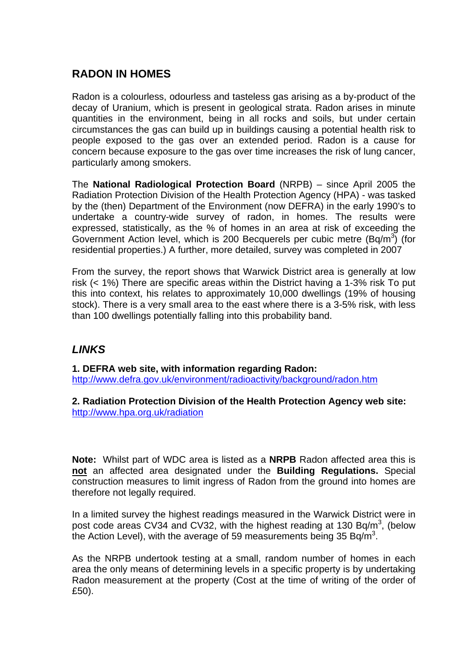# **RADON IN HOMES**

Radon is a colourless, odourless and tasteless gas arising as a by-product of the decay of Uranium, which is present in geological strata. Radon arises in minute quantities in the environment, being in all rocks and soils, but under certain circumstances the gas can build up in buildings causing a potential health risk to people exposed to the gas over an extended period. Radon is a cause for concern because exposure to the gas over time increases the risk of lung cancer, particularly among smokers.

The **National Radiological Protection Board** (NRPB) – since April 2005 the Radiation Protection Division of the Health Protection Agency (HPA) - was tasked by the (then) Department of the Environment (now DEFRA) in the early 1990's to undertake a country-wide survey of radon, in homes. The results were expressed, statistically, as the % of homes in an area at risk of exceeding the Government Action level, which is 200 Becquerels per cubic metre  $(Bq/m^3)$  (for residential properties.) A further, more detailed, survey was completed in 2007

From the survey, the report shows that Warwick District area is generally at low risk (< 1%) There are specific areas within the District having a 1-3% risk To put this into context, his relates to approximately 10,000 dwellings (19% of housing stock). There is a very small area to the east where there is a 3-5% risk, with less than 100 dwellings potentially falling into this probability band.

## *LINKS*

**1. DEFRA web site, with information regarding Radon:**  <http://www.defra.gov.uk/environment/radioactivity/background/radon.htm>

**2. Radiation Protection Division of the Health Protection Agency web site:**  <http://www.hpa.org.uk/radiation>

**Note:** Whilst part of WDC area is listed as a **NRPB** Radon affected area this is **not** an affected area designated under the **Building Regulations.** Special construction measures to limit ingress of Radon from the ground into homes are therefore not legally required.

In a limited survey the highest readings measured in the Warwick District were in post code areas  $CV34$  and CV32, with the highest reading at 130 Bq/m<sup>3</sup>, (below the Action Level), with the average of 59 measurements being 35 Bq/m<sup>3</sup>.

As the NRPB undertook testing at a small, random number of homes in each area the only means of determining levels in a specific property is by undertaking Radon measurement at the property (Cost at the time of writing of the order of £50).